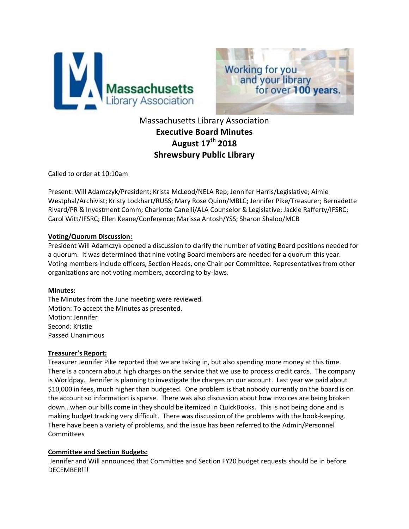



# Massachusetts Library Association **Executive Board Minutes August 17th 2018 Shrewsbury Public Library**

Called to order at 10:10am

Present: Will Adamczyk/President; Krista McLeod/NELA Rep; Jennifer Harris/Legislative; Aimie Westphal/Archivist; Kristy Lockhart/RUSS; Mary Rose Quinn/MBLC; Jennifer Pike/Treasurer; Bernadette Rivard/PR & Investment Comm; Charlotte Canelli/ALA Counselor & Legislative; Jackie Rafferty/IFSRC; Carol Witt/IFSRC; Ellen Keane/Conference; Marissa Antosh/YSS; Sharon Shaloo/MCB

#### **Voting/Quorum Discussion:**

President Will Adamczyk opened a discussion to clarify the number of voting Board positions needed for a quorum. It was determined that nine voting Board members are needed for a quorum this year. Voting members include officers, Section Heads, one Chair per Committee. Representatives from other organizations are not voting members, according to by-laws.

# **Minutes:**

The Minutes from the June meeting were reviewed. Motion: To accept the Minutes as presented. Motion: Jennifer Second: Kristie Passed Unanimous

# **Treasurer's Report:**

Treasurer Jennifer Pike reported that we are taking in, but also spending more money at this time. There is a concern about high charges on the service that we use to process credit cards. The company is Worldpay. Jennifer is planning to investigate the charges on our account. Last year we paid about \$10,000 in fees, much higher than budgeted. One problem is that nobody currently on the board is on the account so information is sparse. There was also discussion about how invoices are being broken down…when our bills come in they should be itemized in QuickBooks. This is not being done and is making budget tracking very difficult. There was discussion of the problems with the book-keeping. There have been a variety of problems, and the issue has been referred to the Admin/Personnel **Committees** 

# **Committee and Section Budgets:**

Jennifer and Will announced that Committee and Section FY20 budget requests should be in before DECEMBER!!!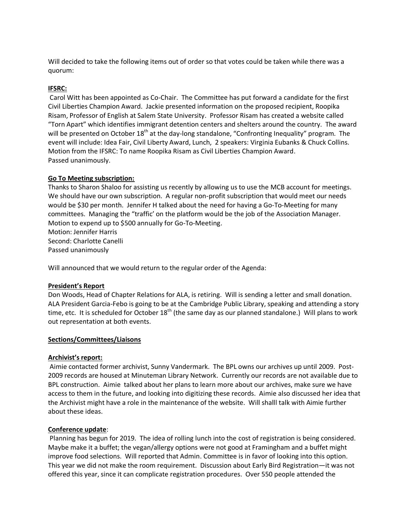Will decided to take the following items out of order so that votes could be taken while there was a quorum:

# **IFSRC:**

Carol Witt has been appointed as Co-Chair. The Committee has put forward a candidate for the first Civil Liberties Champion Award. Jackie presented information on the proposed recipient, Roopika Risam, Professor of English at Salem State University. Professor Risam has created a website called "Torn Apart" which identifies immigrant detention centers and shelters around the country. The award will be presented on October 18<sup>th</sup> at the day-long standalone, "Confronting Inequality" program. The event will include: Idea Fair, Civil Liberty Award, Lunch, 2 speakers: Virginia Eubanks & Chuck Collins. Motion from the IFSRC: To name Roopika Risam as Civil Liberties Champion Award. Passed unanimously.

# **Go To Meeting subscription:**

Thanks to Sharon Shaloo for assisting us recently by allowing us to use the MCB account for meetings. We should have our own subscription. A regular non-profit subscription that would meet our needs would be \$30 per month. Jennifer H talked about the need for having a Go-To-Meeting for many committees. Managing the "traffic' on the platform would be the job of the Association Manager. Motion to expend up to \$500 annually for Go-To-Meeting. Motion: Jennifer Harris

Second: Charlotte Canelli Passed unanimously

Will announced that we would return to the regular order of the Agenda:

# **President's Report**

Don Woods, Head of Chapter Relations for ALA, is retiring. Will is sending a letter and small donation. ALA President Garcia-Febo is going to be at the Cambridge Public Library, speaking and attending a story time, etc. It is scheduled for October  $18<sup>th</sup>$  (the same day as our planned standalone.) Will plans to work out representation at both events.

# **Sections/Committees/Liaisons**

# **Archivist's report:**

Aimie contacted former archivist, Sunny Vandermark. The BPL owns our archives up until 2009. Post-2009 records are housed at Minuteman Library Network. Currently our records are not available due to BPL construction. Aimie talked about her plans to learn more about our archives, make sure we have access to them in the future, and looking into digitizing these records. Aimie also discussed her idea that the Archivist might have a role in the maintenance of the website. Will shalll talk with Aimie further about these ideas.

# **Conference update**:

Planning has begun for 2019. The idea of rolling lunch into the cost of registration is being considered. Maybe make it a buffet; the vegan/allergy options were not good at Framingham and a buffet might improve food selections. Will reported that Admin. Committee is in favor of looking into this option. This year we did not make the room requirement. Discussion about Early Bird Registration—it was not offered this year, since it can complicate registration procedures. Over 550 people attended the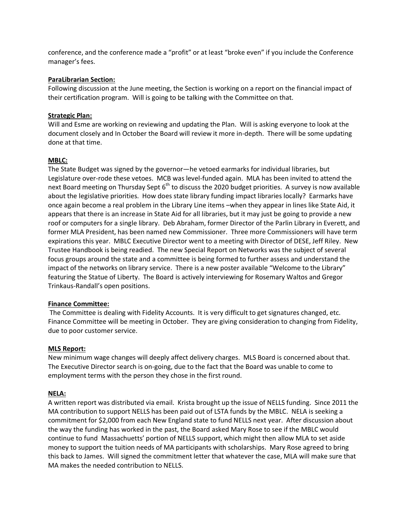conference, and the conference made a "profit" or at least "broke even" if you include the Conference manager's fees.

#### **ParaLibrarian Section:**

Following discussion at the June meeting, the Section is working on a report on the financial impact of their certification program. Will is going to be talking with the Committee on that.

# **Strategic Plan:**

Will and Esme are working on reviewing and updating the Plan. Will is asking everyone to look at the document closely and In October the Board will review it more in-depth. There will be some updating done at that time.

#### **MBLC:**

The State Budget was signed by the governor—he vetoed earmarks for individual libraries, but Legislature over-rode these vetoes. MCB was level-funded again. MLA has been invited to attend the next Board meeting on Thursday Sept  $6<sup>th</sup>$  to discuss the 2020 budget priorities. A survey is now available about the legislative priorities. How does state library funding impact libraries locally? Earmarks have once again become a real problem in the Library Line items –when they appear in lines like State Aid, it appears that there is an increase in State Aid for all libraries, but it may just be going to provide a new roof or computers for a single library. Deb Abraham, former Director of the Parlin Library in Everett, and former MLA President, has been named new Commissioner. Three more Commissioners will have term expirations this year. MBLC Executive Director went to a meeting with Director of DESE, Jeff Riley. New Trustee Handbook is being readied. The new Special Report on Networks was the subject of several focus groups around the state and a committee is being formed to further assess and understand the impact of the networks on library service. There is a new poster available "Welcome to the Library" featuring the Statue of Liberty. The Board is actively interviewing for Rosemary Waltos and Gregor Trinkaus-Randall's open positions.

#### **Finance Committee:**

The Committee is dealing with Fidelity Accounts. It is very difficult to get signatures changed, etc. Finance Committee will be meeting in October. They are giving consideration to changing from Fidelity, due to poor customer service.

#### **MLS Report:**

New minimum wage changes will deeply affect delivery charges. MLS Board is concerned about that. The Executive Director search is on-going, due to the fact that the Board was unable to come to employment terms with the person they chose in the first round.

#### **NELA:**

A written report was distributed via email. Krista brought up the issue of NELLS funding. Since 2011 the MA contribution to support NELLS has been paid out of LSTA funds by the MBLC. NELA is seeking a commitment for \$2,000 from each New England state to fund NELLS next year. After discussion about the way the funding has worked in the past, the Board asked Mary Rose to see if the MBLC would continue to fund Massachuetts' portion of NELLS support, which might then allow MLA to set aside money to support the tuition needs of MA participants with scholarships. Mary Rose agreed to bring this back to James. Will signed the commitment letter that whatever the case, MLA will make sure that MA makes the needed contribution to NELLS.